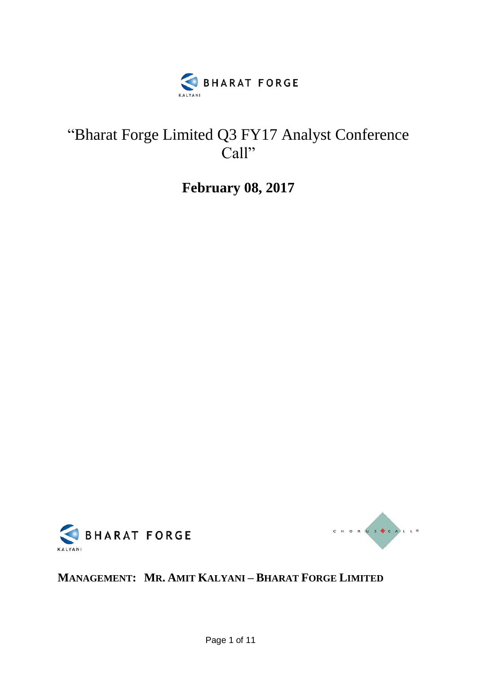

## "Bharat Forge Limited Q3 FY17 Analyst Conference Call"

**February 08, 2017**





## **MANAGEMENT: MR. AMIT KALYANI – BHARAT FORGE LIMITED**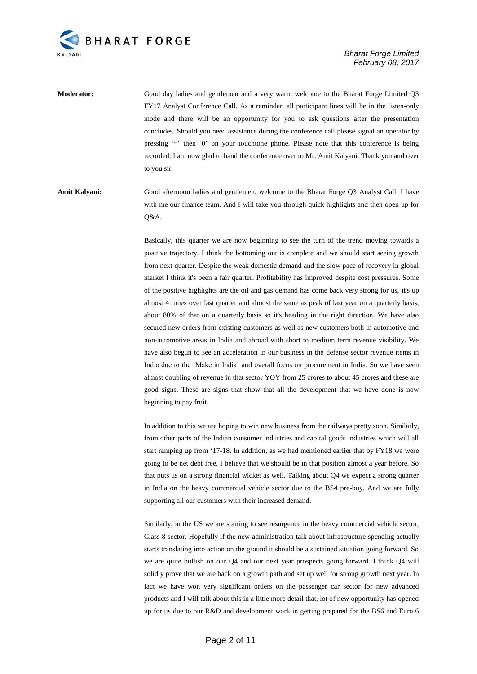

**Moderator:** Good day ladies and gentlemen and a very warm welcome to the Bharat Forge Limited Q3 FY17 Analyst Conference Call. As a reminder, all participant lines will be in the listen-only mode and there will be an opportunity for you to ask questions after the presentation concludes. Should you need assistance during the conference call please signal an operator by pressing '\*' then '0' on your touchtone phone. Please note that this conference is being recorded. I am now glad to hand the conference over to Mr. Amit Kalyani. Thank you and over to you sir.

**Amit Kalyani:** Good afternoon ladies and gentlemen, welcome to the Bharat Forge Q3 Analyst Call. I have with me our finance team. And I will take you through quick highlights and then open up for  $O&A$ .

> Basically, this quarter we are now beginning to see the turn of the trend moving towards a positive trajectory. I think the bottoming out is complete and we should start seeing growth from next quarter. Despite the weak domestic demand and the slow pace of recovery in global market I think it's been a fair quarter. Profitability has improved despite cost pressures. Some of the positive highlights are the oil and gas demand has come back very strong for us, it's up almost 4 times over last quarter and almost the same as peak of last year on a quarterly basis, about 80% of that on a quarterly basis so it's heading in the right direction. We have also secured new orders from existing customers as well as new customers both in automotive and non-automotive areas in India and abroad with short to medium term revenue visibility. We have also begun to see an acceleration in our business in the defense sector revenue items in India due to the 'Make in India' and overall focus on procurement in India. So we have seen almost doubling of revenue in that sector YOY from 25 crores to about 45 crores and these are good signs. These are signs that show that all the development that we have done is now beginning to pay fruit.

> In addition to this we are hoping to win new business from the railways pretty soon. Similarly, from other parts of the Indian consumer industries and capital goods industries which will all start ramping up from '17-18. In addition, as we had mentioned earlier that by FY18 we were going to be net debt free, I believe that we should be in that position almost a year before. So that puts us on a strong financial wicket as well. Talking about Q4 we expect a strong quarter in India on the heavy commercial vehicle sector due to the BS4 pre-buy. And we are fully supporting all our customers with their increased demand.

> Similarly, in the US we are starting to see resurgence in the heavy commercial vehicle sector, Class 8 sector. Hopefully if the new administration talk about infrastructure spending actually starts translating into action on the ground it should be a sustained situation going forward. So we are quite bullish on our Q4 and our next year prospects going forward. I think Q4 will solidly prove that we are back on a growth path and set up well for strong growth next year. In fact we have won very significant orders on the passenger car sector for new advanced products and I will talk about this in a little more detail that, lot of new opportunity has opened up for us due to our R&D and development work in getting prepared for the BS6 and Euro 6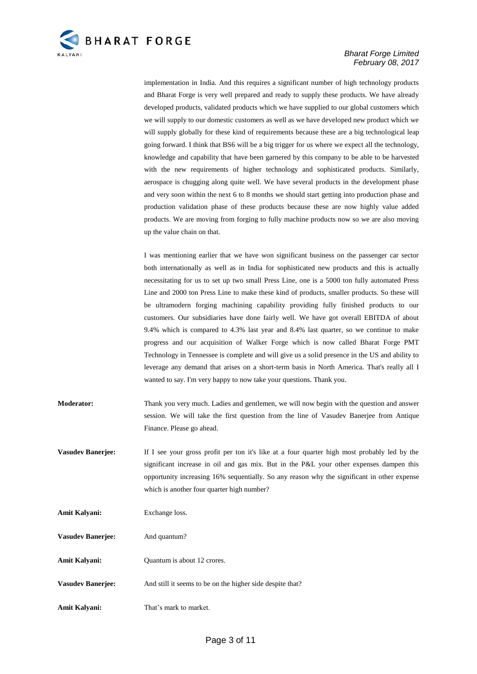

implementation in India. And this requires a significant number of high technology products and Bharat Forge is very well prepared and ready to supply these products. We have already developed products, validated products which we have supplied to our global customers which we will supply to our domestic customers as well as we have developed new product which we will supply globally for these kind of requirements because these are a big technological leap going forward. I think that BS6 will be a big trigger for us where we expect all the technology, knowledge and capability that have been garnered by this company to be able to be harvested with the new requirements of higher technology and sophisticated products. Similarly, aerospace is chugging along quite well. We have several products in the development phase and very soon within the next 6 to 8 months we should start getting into production phase and production validation phase of these products because these are now highly value added products. We are moving from forging to fully machine products now so we are also moving up the value chain on that.

I was mentioning earlier that we have won significant business on the passenger car sector both internationally as well as in India for sophisticated new products and this is actually necessitating for us to set up two small Press Line, one is a 5000 ton fully automated Press Line and 2000 ton Press Line to make these kind of products, smaller products. So these will be ultramodern forging machining capability providing fully finished products to our customers. Our subsidiaries have done fairly well. We have got overall EBITDA of about 9.4% which is compared to 4.3% last year and 8.4% last quarter, so we continue to make progress and our acquisition of Walker Forge which is now called Bharat Forge PMT Technology in Tennessee is complete and will give us a solid presence in the US and ability to leverage any demand that arises on a short-term basis in North America. That's really all I wanted to say. I'm very happy to now take your questions. Thank you.

- **Moderator:** Thank you very much. Ladies and gentlemen, we will now begin with the question and answer session. We will take the first question from the line of Vasudev Banerjee from Antique Finance. Please go ahead.
- **Vasudev Banerjee:** If I see your gross profit per ton it's like at a four quarter high most probably led by the significant increase in oil and gas mix. But in the P&L your other expenses dampen this opportunity increasing 16% sequentially. So any reason why the significant in other expense which is another four quarter high number?

| Amit Kalyani:            | Exchange loss.                                            |
|--------------------------|-----------------------------------------------------------|
| <b>Vasudev Banerjee:</b> | And quantum?                                              |
| Amit Kalyani:            | Quantum is about 12 crores.                               |
| <b>Vasudev Banerjee:</b> | And still it seems to be on the higher side despite that? |
| Amit Kalyani:            | That's mark to market.                                    |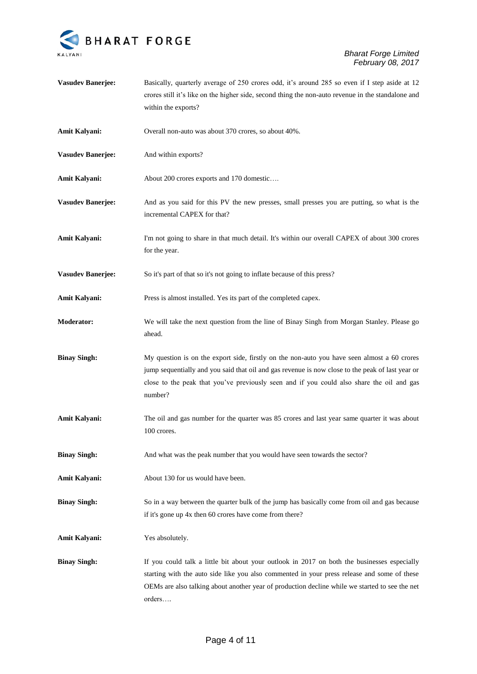

**Vasudev Banerjee:** Basically, quarterly average of 250 crores odd, it's around 285 so even if I step aside at 12 crores still it's like on the higher side, second thing the non-auto revenue in the standalone and within the exports? Amit Kalyani: Overall non-auto was about 370 crores, so about 40%. **Vasudev Banerjee:** And within exports? **Amit Kalyani:** About 200 crores exports and 170 domestic…. **Vasudev Banerjee:** And as you said for this PV the new presses, small presses you are putting, so what is the incremental CAPEX for that? **Amit Kalyani:** I'm not going to share in that much detail. It's within our overall CAPEX of about 300 crores for the year. **Vasudev Banerjee:** So it's part of that so it's not going to inflate because of this press? **Amit Kalyani:** Press is almost installed. Yes its part of the completed capex. **Moderator:** We will take the next question from the line of Binay Singh from Morgan Stanley. Please go ahead. **Binay Singh:** My question is on the export side, firstly on the non-auto you have seen almost a 60 crores jump sequentially and you said that oil and gas revenue is now close to the peak of last year or close to the peak that you've previously seen and if you could also share the oil and gas number? Amit Kalyani: The oil and gas number for the quarter was 85 crores and last year same quarter it was about 100 crores. **Binay Singh:** And what was the peak number that you would have seen towards the sector? **Amit Kalyani:** About 130 for us would have been. **Binay Singh:** So in a way between the quarter bulk of the jump has basically come from oil and gas because if it's gone up 4x then 60 crores have come from there? **Amit Kalyani:** Yes absolutely. **Binay Singh:** If you could talk a little bit about your outlook in 2017 on both the businesses especially starting with the auto side like you also commented in your press release and some of these OEMs are also talking about another year of production decline while we started to see the net orders….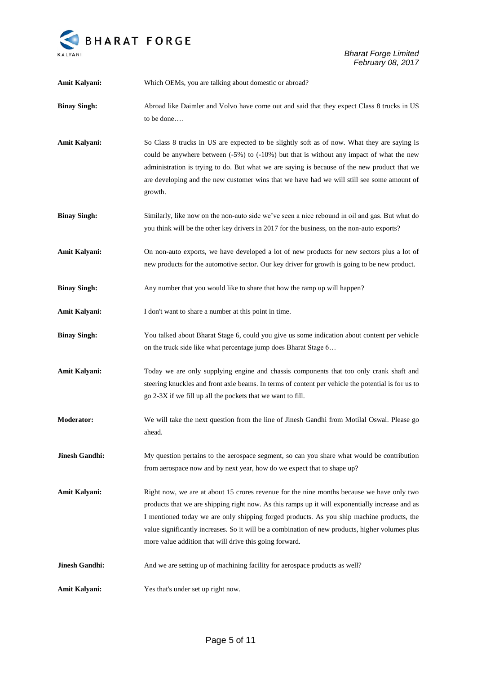

| Amit Kalyani:         | Which OEMs, you are talking about domestic or abroad?                                                                                                                                                                                                                                                                                                                                                                                                   |
|-----------------------|---------------------------------------------------------------------------------------------------------------------------------------------------------------------------------------------------------------------------------------------------------------------------------------------------------------------------------------------------------------------------------------------------------------------------------------------------------|
| <b>Binay Singh:</b>   | Abroad like Daimler and Volvo have come out and said that they expect Class 8 trucks in US<br>to be done                                                                                                                                                                                                                                                                                                                                                |
| Amit Kalyani:         | So Class 8 trucks in US are expected to be slightly soft as of now. What they are saying is<br>could be anywhere between $(-5\%)$ to $(-10\%)$ but that is without any impact of what the new<br>administration is trying to do. But what we are saying is because of the new product that we<br>are developing and the new customer wins that we have had we will still see some amount of<br>growth.                                                  |
| <b>Binay Singh:</b>   | Similarly, like now on the non-auto side we've seen a nice rebound in oil and gas. But what do<br>you think will be the other key drivers in 2017 for the business, on the non-auto exports?                                                                                                                                                                                                                                                            |
| Amit Kalyani:         | On non-auto exports, we have developed a lot of new products for new sectors plus a lot of<br>new products for the automotive sector. Our key driver for growth is going to be new product.                                                                                                                                                                                                                                                             |
| <b>Binay Singh:</b>   | Any number that you would like to share that how the ramp up will happen?                                                                                                                                                                                                                                                                                                                                                                               |
| <b>Amit Kalyani:</b>  | I don't want to share a number at this point in time.                                                                                                                                                                                                                                                                                                                                                                                                   |
| <b>Binay Singh:</b>   | You talked about Bharat Stage 6, could you give us some indication about content per vehicle<br>on the truck side like what percentage jump does Bharat Stage 6                                                                                                                                                                                                                                                                                         |
| Amit Kalyani:         | Today we are only supplying engine and chassis components that too only crank shaft and<br>steering knuckles and front axle beams. In terms of content per vehicle the potential is for us to<br>go 2-3X if we fill up all the pockets that we want to fill.                                                                                                                                                                                            |
| <b>Moderator:</b>     | We will take the next question from the line of Jinesh Gandhi from Motilal Oswal. Please go<br>ahead.                                                                                                                                                                                                                                                                                                                                                   |
| <b>Jinesh Gandhi:</b> | My question pertains to the aerospace segment, so can you share what would be contribution<br>from aerospace now and by next year, how do we expect that to shape up?                                                                                                                                                                                                                                                                                   |
| <b>Amit Kalyani:</b>  | Right now, we are at about 15 crores revenue for the nine months because we have only two<br>products that we are shipping right now. As this ramps up it will exponentially increase and as<br>I mentioned today we are only shipping forged products. As you ship machine products, the<br>value significantly increases. So it will be a combination of new products, higher volumes plus<br>more value addition that will drive this going forward. |
| <b>Jinesh Gandhi:</b> | And we are setting up of machining facility for aerospace products as well?                                                                                                                                                                                                                                                                                                                                                                             |
| Amit Kalyani:         | Yes that's under set up right now.                                                                                                                                                                                                                                                                                                                                                                                                                      |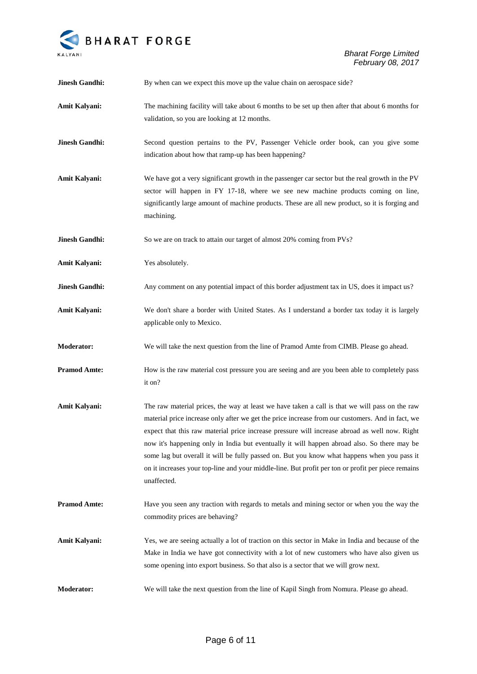

| <b>Jinesh Gandhi:</b> | By when can we expect this move up the value chain on aerospace side?                                                                                                                                                                                                                                                                                                                                                                                                                                                                                                                                                  |
|-----------------------|------------------------------------------------------------------------------------------------------------------------------------------------------------------------------------------------------------------------------------------------------------------------------------------------------------------------------------------------------------------------------------------------------------------------------------------------------------------------------------------------------------------------------------------------------------------------------------------------------------------------|
| Amit Kalyani:         | The machining facility will take about 6 months to be set up then after that about 6 months for<br>validation, so you are looking at 12 months.                                                                                                                                                                                                                                                                                                                                                                                                                                                                        |
| <b>Jinesh Gandhi:</b> | Second question pertains to the PV, Passenger Vehicle order book, can you give some<br>indication about how that ramp-up has been happening?                                                                                                                                                                                                                                                                                                                                                                                                                                                                           |
| Amit Kalyani:         | We have got a very significant growth in the passenger car sector but the real growth in the PV<br>sector will happen in FY 17-18, where we see new machine products coming on line,<br>significantly large amount of machine products. These are all new product, so it is forging and<br>machining.                                                                                                                                                                                                                                                                                                                  |
| <b>Jinesh Gandhi:</b> | So we are on track to attain our target of almost 20% coming from PVs?                                                                                                                                                                                                                                                                                                                                                                                                                                                                                                                                                 |
| Amit Kalyani:         | Yes absolutely.                                                                                                                                                                                                                                                                                                                                                                                                                                                                                                                                                                                                        |
| <b>Jinesh Gandhi:</b> | Any comment on any potential impact of this border adjustment tax in US, does it impact us?                                                                                                                                                                                                                                                                                                                                                                                                                                                                                                                            |
| Amit Kalyani:         | We don't share a border with United States. As I understand a border tax today it is largely<br>applicable only to Mexico.                                                                                                                                                                                                                                                                                                                                                                                                                                                                                             |
| Moderator:            | We will take the next question from the line of Pramod Amte from CIMB. Please go ahead.                                                                                                                                                                                                                                                                                                                                                                                                                                                                                                                                |
| <b>Pramod Amte:</b>   | How is the raw material cost pressure you are seeing and are you been able to completely pass<br>it on?                                                                                                                                                                                                                                                                                                                                                                                                                                                                                                                |
| Amit Kalyani:         | The raw material prices, the way at least we have taken a call is that we will pass on the raw<br>material price increase only after we get the price increase from our customers. And in fact, we<br>expect that this raw material price increase pressure will increase abroad as well now. Right<br>now it's happening only in India but eventually it will happen abroad also. So there may be<br>some lag but overall it will be fully passed on. But you know what happens when you pass it<br>on it increases your top-line and your middle-line. But profit per ton or profit per piece remains<br>unaffected. |
| <b>Pramod Amte:</b>   | Have you seen any traction with regards to metals and mining sector or when you the way the<br>commodity prices are behaving?                                                                                                                                                                                                                                                                                                                                                                                                                                                                                          |
| Amit Kalyani:         | Yes, we are seeing actually a lot of traction on this sector in Make in India and because of the<br>Make in India we have got connectivity with a lot of new customers who have also given us<br>some opening into export business. So that also is a sector that we will grow next.                                                                                                                                                                                                                                                                                                                                   |
| Moderator:            | We will take the next question from the line of Kapil Singh from Nomura. Please go ahead.                                                                                                                                                                                                                                                                                                                                                                                                                                                                                                                              |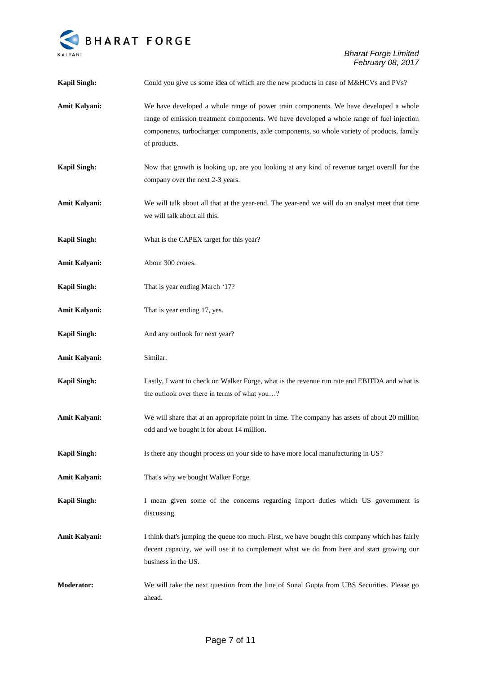

| <b>Kapil Singh:</b>  | Could you give us some idea of which are the new products in case of M&HCVs and PVs?                                                                                                                                                                                                            |
|----------------------|-------------------------------------------------------------------------------------------------------------------------------------------------------------------------------------------------------------------------------------------------------------------------------------------------|
| Amit Kalyani:        | We have developed a whole range of power train components. We have developed a whole<br>range of emission treatment components. We have developed a whole range of fuel injection<br>components, turbocharger components, axle components, so whole variety of products, family<br>of products. |
| <b>Kapil Singh:</b>  | Now that growth is looking up, are you looking at any kind of revenue target overall for the<br>company over the next 2-3 years.                                                                                                                                                                |
| Amit Kalyani:        | We will talk about all that at the year-end. The year-end we will do an analyst meet that time<br>we will talk about all this.                                                                                                                                                                  |
| <b>Kapil Singh:</b>  | What is the CAPEX target for this year?                                                                                                                                                                                                                                                         |
| Amit Kalyani:        | About 300 crores.                                                                                                                                                                                                                                                                               |
| <b>Kapil Singh:</b>  | That is year ending March '17?                                                                                                                                                                                                                                                                  |
| Amit Kalyani:        | That is year ending 17, yes.                                                                                                                                                                                                                                                                    |
| <b>Kapil Singh:</b>  | And any outlook for next year?                                                                                                                                                                                                                                                                  |
| Amit Kalyani:        | Similar.                                                                                                                                                                                                                                                                                        |
| <b>Kapil Singh:</b>  | Lastly, I want to check on Walker Forge, what is the revenue run rate and EBITDA and what is<br>the outlook over there in terms of what you?                                                                                                                                                    |
| Amit Kalyani:        | We will share that at an appropriate point in time. The company has assets of about 20 million<br>odd and we bought it for about 14 million.                                                                                                                                                    |
| <b>Kapil Singh:</b>  | Is there any thought process on your side to have more local manufacturing in US?                                                                                                                                                                                                               |
| <b>Amit Kalyani:</b> | That's why we bought Walker Forge.                                                                                                                                                                                                                                                              |
| <b>Kapil Singh:</b>  | I mean given some of the concerns regarding import duties which US government is<br>discussing.                                                                                                                                                                                                 |
| Amit Kalyani:        | I think that's jumping the queue too much. First, we have bought this company which has fairly<br>decent capacity, we will use it to complement what we do from here and start growing our<br>business in the US.                                                                               |
| Moderator:           | We will take the next question from the line of Sonal Gupta from UBS Securities. Please go<br>ahead.                                                                                                                                                                                            |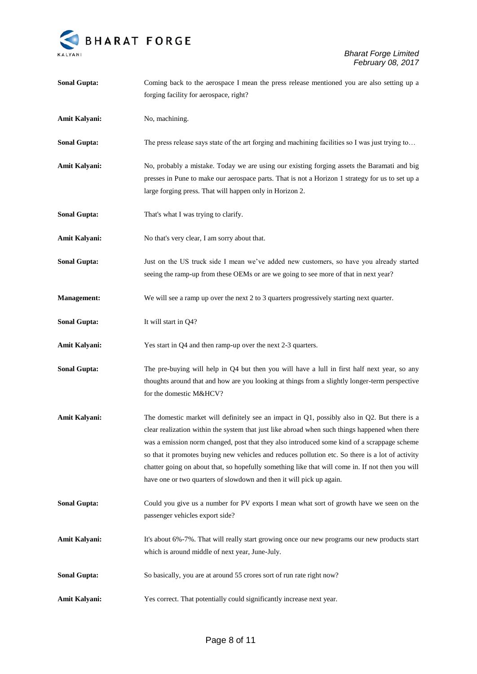

| <b>Sonal Gupta:</b>  | Coming back to the aerospace I mean the press release mentioned you are also setting up a                                                                                                                                                                                                                                                                                                                                                                                                                                                                                           |
|----------------------|-------------------------------------------------------------------------------------------------------------------------------------------------------------------------------------------------------------------------------------------------------------------------------------------------------------------------------------------------------------------------------------------------------------------------------------------------------------------------------------------------------------------------------------------------------------------------------------|
|                      | forging facility for aerospace, right?                                                                                                                                                                                                                                                                                                                                                                                                                                                                                                                                              |
| Amit Kalyani:        | No, machining.                                                                                                                                                                                                                                                                                                                                                                                                                                                                                                                                                                      |
| <b>Sonal Gupta:</b>  | The press release says state of the art forging and machining facilities so I was just trying to                                                                                                                                                                                                                                                                                                                                                                                                                                                                                    |
| Amit Kalyani:        | No, probably a mistake. Today we are using our existing forging assets the Baramati and big<br>presses in Pune to make our aerospace parts. That is not a Horizon 1 strategy for us to set up a<br>large forging press. That will happen only in Horizon 2.                                                                                                                                                                                                                                                                                                                         |
| <b>Sonal Gupta:</b>  | That's what I was trying to clarify.                                                                                                                                                                                                                                                                                                                                                                                                                                                                                                                                                |
| Amit Kalyani:        | No that's very clear, I am sorry about that.                                                                                                                                                                                                                                                                                                                                                                                                                                                                                                                                        |
| <b>Sonal Gupta:</b>  | Just on the US truck side I mean we've added new customers, so have you already started<br>seeing the ramp-up from these OEMs or are we going to see more of that in next year?                                                                                                                                                                                                                                                                                                                                                                                                     |
| <b>Management:</b>   | We will see a ramp up over the next 2 to 3 quarters progressively starting next quarter.                                                                                                                                                                                                                                                                                                                                                                                                                                                                                            |
| <b>Sonal Gupta:</b>  | It will start in Q4?                                                                                                                                                                                                                                                                                                                                                                                                                                                                                                                                                                |
| Amit Kalyani:        | Yes start in Q4 and then ramp-up over the next 2-3 quarters.                                                                                                                                                                                                                                                                                                                                                                                                                                                                                                                        |
| <b>Sonal Gupta:</b>  | The pre-buying will help in Q4 but then you will have a lull in first half next year, so any<br>thoughts around that and how are you looking at things from a slightly longer-term perspective<br>for the domestic M&HCV?                                                                                                                                                                                                                                                                                                                                                           |
| Amit Kalyani:        | The domestic market will definitely see an impact in $Q1$ , possibly also in $Q2$ . But there is a<br>clear realization within the system that just like abroad when such things happened when there<br>was a emission norm changed, post that they also introduced some kind of a scrappage scheme<br>so that it promotes buying new vehicles and reduces pollution etc. So there is a lot of activity<br>chatter going on about that, so hopefully something like that will come in. If not then you will<br>have one or two quarters of slowdown and then it will pick up again. |
| <b>Sonal Gupta:</b>  | Could you give us a number for PV exports I mean what sort of growth have we seen on the<br>passenger vehicles export side?                                                                                                                                                                                                                                                                                                                                                                                                                                                         |
| <b>Amit Kalyani:</b> | It's about 6%-7%. That will really start growing once our new programs our new products start<br>which is around middle of next year, June-July.                                                                                                                                                                                                                                                                                                                                                                                                                                    |
| <b>Sonal Gupta:</b>  | So basically, you are at around 55 crores sort of run rate right now?                                                                                                                                                                                                                                                                                                                                                                                                                                                                                                               |
| <b>Amit Kalyani:</b> | Yes correct. That potentially could significantly increase next year.                                                                                                                                                                                                                                                                                                                                                                                                                                                                                                               |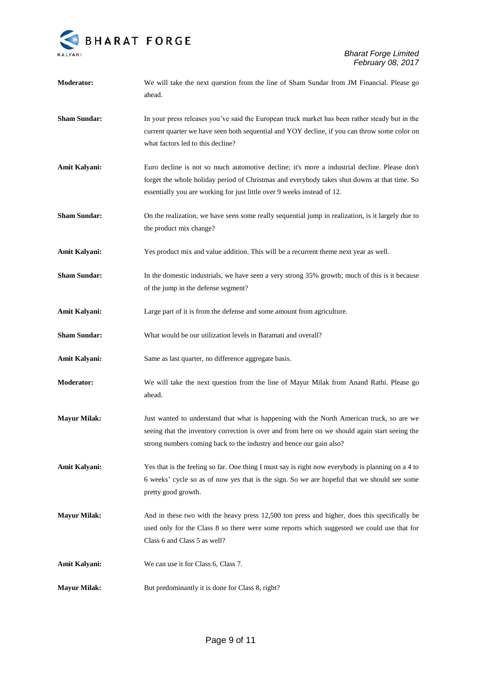

| <b>Moderator:</b>   | We will take the next question from the line of Sham Sundar from JM Financial. Please go<br>ahead.                                                                                                                                                                      |
|---------------------|-------------------------------------------------------------------------------------------------------------------------------------------------------------------------------------------------------------------------------------------------------------------------|
| <b>Sham Sundar:</b> | In your press releases you've said the European truck market has been rather steady but in the<br>current quarter we have seen both sequential and YOY decline, if you can throw some color on<br>what factors led to this decline?                                     |
| Amit Kalyani:       | Euro decline is not so much automotive decline; it's more a industrial decline. Please don't<br>forget the whole holiday period of Christmas and everybody takes shut downs at that time. So<br>essentially you are working for just little over 9 weeks instead of 12. |
| <b>Sham Sundar:</b> | On the realization, we have seen some really sequential jump in realization, is it largely due to<br>the product mix change?                                                                                                                                            |
| Amit Kalyani:       | Yes product mix and value addition. This will be a recurrent theme next year as well.                                                                                                                                                                                   |
| <b>Sham Sundar:</b> | In the domestic industrials, we have seen a very strong 35% growth; much of this is it because<br>of the jump in the defense segment?                                                                                                                                   |
| Amit Kalyani:       | Large part of it is from the defense and some amount from agriculture.                                                                                                                                                                                                  |
| <b>Sham Sundar:</b> | What would be our utilization levels in Baramati and overall?                                                                                                                                                                                                           |
| Amit Kalyani:       | Same as last quarter, no difference aggregate basis.                                                                                                                                                                                                                    |
| <b>Moderator:</b>   | We will take the next question from the line of Mayur Milak from Anand Rathi. Please go<br>ahead.                                                                                                                                                                       |
| <b>Mayur Milak:</b> | Just wanted to understand that what is happening with the North American truck, so are we<br>seeing that the inventory correction is over and from here on we should again start seeing the<br>strong numbers coming back to the industry and hence our gain also?      |
| Amit Kalyani:       | Yes that is the feeling so far. One thing I must say is right now everybody is planning on a 4 to<br>6 weeks' cycle so as of now yes that is the sign. So we are hopeful that we should see some<br>pretty good growth.                                                 |
| <b>Mayur Milak:</b> | And in these two with the heavy press 12,500 ton press and higher, does this specifically be<br>used only for the Class 8 so there were some reports which suggested we could use that for<br>Class 6 and Class 5 as well?                                              |
| Amit Kalyani:       | We can use it for Class 6, Class 7.                                                                                                                                                                                                                                     |
| <b>Mayur Milak:</b> | But predominantly it is done for Class 8, right?                                                                                                                                                                                                                        |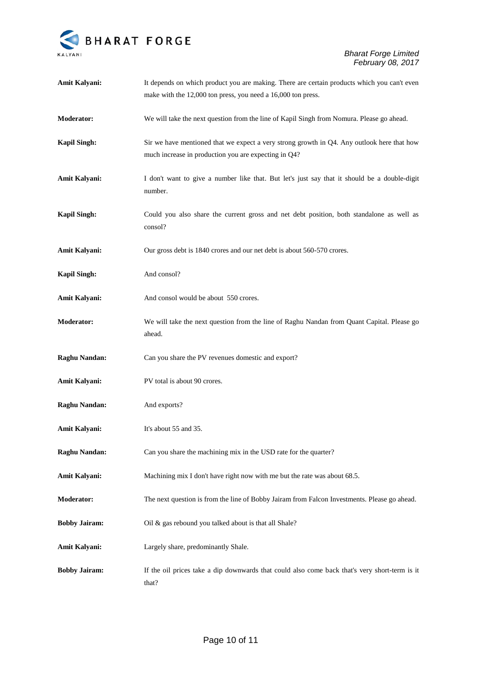

| Amit Kalyani:        | It depends on which product you are making. There are certain products which you can't even<br>make with the 12,000 ton press, you need a 16,000 ton press. |
|----------------------|-------------------------------------------------------------------------------------------------------------------------------------------------------------|
| <b>Moderator:</b>    | We will take the next question from the line of Kapil Singh from Nomura. Please go ahead.                                                                   |
| <b>Kapil Singh:</b>  | Sir we have mentioned that we expect a very strong growth in Q4. Any outlook here that how<br>much increase in production you are expecting in Q4?          |
| Amit Kalyani:        | I don't want to give a number like that. But let's just say that it should be a double-digit<br>number.                                                     |
| <b>Kapil Singh:</b>  | Could you also share the current gross and net debt position, both standalone as well as<br>consol?                                                         |
| Amit Kalyani:        | Our gross debt is 1840 crores and our net debt is about 560-570 crores.                                                                                     |
| <b>Kapil Singh:</b>  | And consol?                                                                                                                                                 |
| Amit Kalyani:        | And consol would be about 550 crores.                                                                                                                       |
| <b>Moderator:</b>    | We will take the next question from the line of Raghu Nandan from Quant Capital. Please go<br>ahead.                                                        |
| <b>Raghu Nandan:</b> | Can you share the PV revenues domestic and export?                                                                                                          |
| Amit Kalyani:        | PV total is about 90 crores.                                                                                                                                |
| <b>Raghu Nandan:</b> | And exports?                                                                                                                                                |
| Amit Kalyani:        | It's about 55 and 35.                                                                                                                                       |
| <b>Raghu Nandan:</b> | Can you share the machining mix in the USD rate for the quarter?                                                                                            |
| <b>Amit Kalyani:</b> | Machining mix I don't have right now with me but the rate was about 68.5.                                                                                   |
| Moderator:           | The next question is from the line of Bobby Jairam from Falcon Investments. Please go ahead.                                                                |
| <b>Bobby Jairam:</b> | Oil & gas rebound you talked about is that all Shale?                                                                                                       |
| Amit Kalyani:        | Largely share, predominantly Shale.                                                                                                                         |
| <b>Bobby Jairam:</b> | If the oil prices take a dip downwards that could also come back that's very short-term is it<br>that?                                                      |